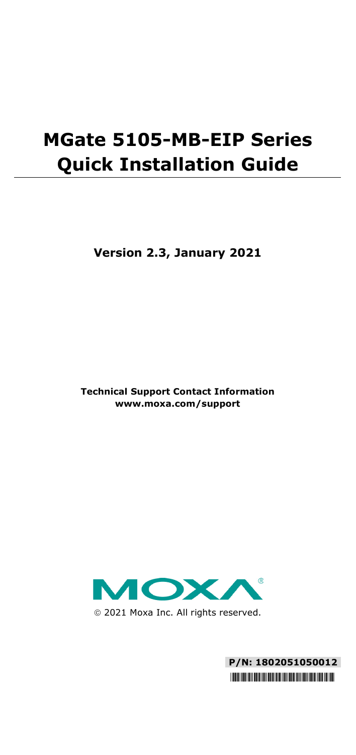# **MGate 5105-MB-EIP Series Quick Installation Guide**

**Version 2.3, January 2021**

**Technical Support Contact Information www.moxa.com/support**



2021 Moxa Inc. All rights reserved.

**P/N: 1802051050012** \*1802051050012\*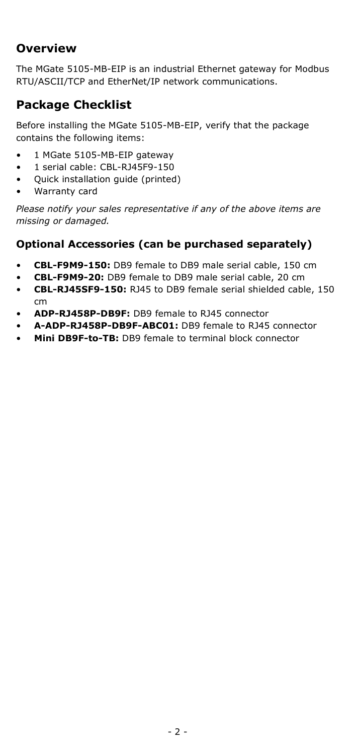### **Overview**

The MGate 5105-MB-EIP is an industrial Ethernet gateway for Modbus RTU/ASCII/TCP and EtherNet/IP network communications.

### **Package Checklist**

Before installing the MGate 5105-MB-EIP, verify that the package contains the following items:

- 1 MGate 5105-MB-EIP gateway
- 1 serial cable: CBL-RJ45F9-150
- Quick installation guide (printed)
- Warranty card

*Please notify your sales representative if any of the above items are missing or damaged.*

#### **Optional Accessories (can be purchased separately)**

- **CBL-F9M9-150:** DB9 female to DB9 male serial cable, 150 cm
- **CBL-F9M9-20:** DB9 female to DB9 male serial cable, 20 cm
- **CBL-RJ45SF9-150:** RJ45 to DB9 female serial shielded cable, 150 cm
- **ADP-RJ458P-DB9F:** DB9 female to RJ45 connector
- **A-ADP-RJ458P-DB9F-ABC01:** DB9 female to RJ45 connector
- **Mini DB9F-to-TB:** DB9 female to terminal block connector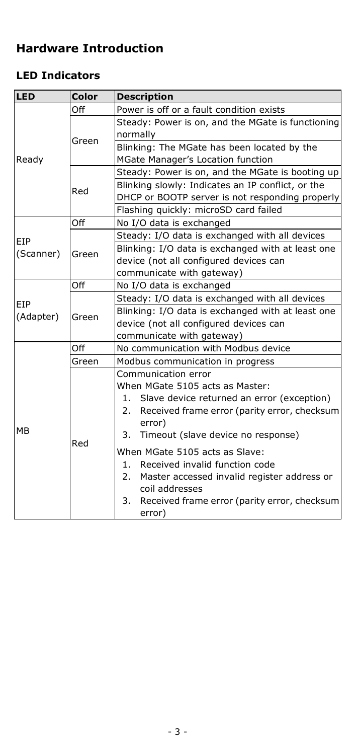### **Hardware Introduction**

### **LED Indicators**

| LED       | Color | <b>Description</b>                                 |  |  |  |
|-----------|-------|----------------------------------------------------|--|--|--|
| Ready     | Off   | Power is off or a fault condition exists           |  |  |  |
|           | Green | Steady: Power is on, and the MGate is functioning  |  |  |  |
|           |       | normally                                           |  |  |  |
|           |       | Blinking: The MGate has been located by the        |  |  |  |
|           |       | MGate Manager's Location function                  |  |  |  |
|           | Red   | Steady: Power is on, and the MGate is booting up   |  |  |  |
|           |       | Blinking slowly: Indicates an IP conflict, or the  |  |  |  |
|           |       | DHCP or BOOTP server is not responding properly    |  |  |  |
|           |       | Flashing quickly: microSD card failed              |  |  |  |
|           | Off   | No I/O data is exchanged                           |  |  |  |
| EIP       | Green | Steady: I/O data is exchanged with all devices     |  |  |  |
| (Scanner) |       | Blinking: I/O data is exchanged with at least one  |  |  |  |
|           |       | device (not all configured devices can             |  |  |  |
|           |       | communicate with gateway)                          |  |  |  |
|           | Off   | No I/O data is exchanged                           |  |  |  |
| EIP       | Green | Steady: I/O data is exchanged with all devices     |  |  |  |
| (Adapter) |       | Blinking: I/O data is exchanged with at least one  |  |  |  |
|           |       | device (not all configured devices can             |  |  |  |
|           |       | communicate with gateway)                          |  |  |  |
|           | Off   | No communication with Modbus device                |  |  |  |
|           | Green | Modbus communication in progress                   |  |  |  |
|           | Red   | Communication error                                |  |  |  |
|           |       | When MGate 5105 acts as Master:                    |  |  |  |
|           |       | Slave device returned an error (exception)<br>1.   |  |  |  |
|           |       | 2.<br>Received frame error (parity error, checksum |  |  |  |
|           |       | error)                                             |  |  |  |
| МB        |       | 3.<br>Timeout (slave device no response)           |  |  |  |
|           |       | When MGate 5105 acts as Slave:                     |  |  |  |
|           |       | 1.<br>Received invalid function code               |  |  |  |
|           |       | 2.<br>Master accessed invalid register address or  |  |  |  |
|           |       | coil addresses                                     |  |  |  |
|           |       | 3.<br>Received frame error (parity error, checksum |  |  |  |
|           |       | error)                                             |  |  |  |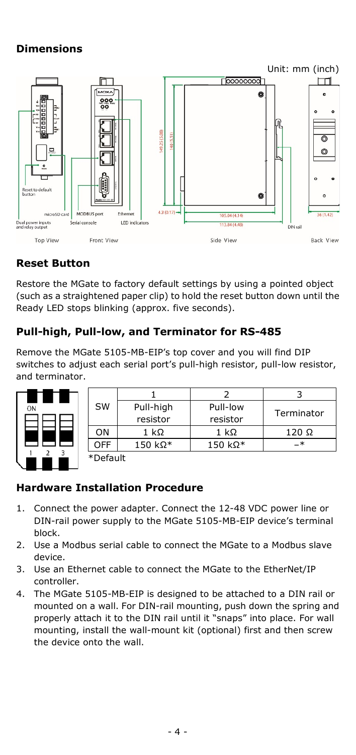#### **Dimensions**



#### **Reset Button**

Restore the MGate to factory default settings by using a pointed object (such as a straightened paper clip) to hold the reset button down until the Ready LED stops blinking (approx. five seconds).

#### **Pull-high, Pull-low, and Terminator for RS-485**

Remove the MGate 5105-MB-EIP's top cover and you will find DIP switches to adjust each serial port's pull-high resistor, pull-low resistor, and terminator.



| <b>SW</b> | Pull-high<br>resistor | Pull-low<br>resistor  | Terminator   |  |
|-----------|-----------------------|-----------------------|--------------|--|
| ON        | 1 k $\Omega$          | $1 \; \text{k}\Omega$ | $120 \Omega$ |  |
| OFF       | 150 kΩ*               | 150 kΩ*               | -∗           |  |
| *Default  |                       |                       |              |  |

#### \*Default

#### **Hardware Installation Procedure**

- 1. Connect the power adapter. Connect the 12-48 VDC power line or DIN-rail power supply to the MGate 5105-MB-EIP device's terminal block.
- 2. Use a Modbus serial cable to connect the MGate to a Modbus slave device.
- 3. Use an Ethernet cable to connect the MGate to the EtherNet/IP controller.
- 4. The MGate 5105-MB-EIP is designed to be attached to a DIN rail or mounted on a wall. For DIN-rail mounting, push down the spring and properly attach it to the DIN rail until it "snaps" into place. For wall mounting, install the wall-mount kit (optional) first and then screw the device onto the wall.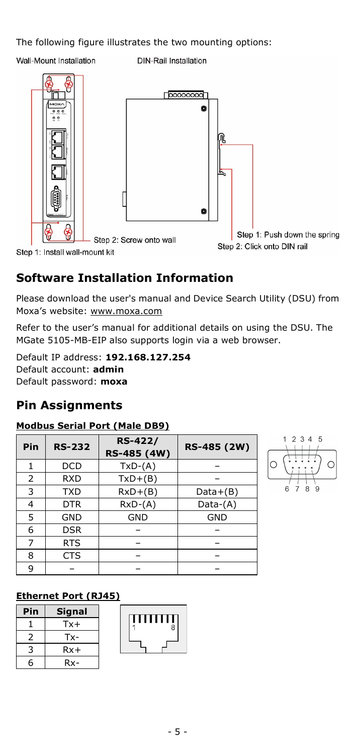The following figure illustrates the two mounting options:

Wall-Mount Installation

**DIN-Rail Installation** 



### **Software Installation Information**

Please download the user's manual and Device Search Utility (DSU) from Moxa's website[: www.moxa.com](file://moxa.com/mhqfs/MKT/MKT_Cloud/Global_Marketing/Writer/Manuals/MGate_5105-MB-EIP/3---QIG/www.moxa.com)

Refer to the user's manual for additional details on using the DSU. The MGate 5105-MB-EIP also supports login via a web browser.

Default IP address: **192.168.127.254**  Default account: **admin**  Default password: **moxa**

### **Pin Assignments**

#### **Modbus Serial Port (Male DB9)**

| Pin | <b>RS-232</b> | <b>RS-422/</b><br>RS-485 (4W) | RS-485 (2W) |
|-----|---------------|-------------------------------|-------------|
| 1   | <b>DCD</b>    | $TxD-(A)$                     |             |
| 2   | <b>RXD</b>    | $TxD+(B)$                     |             |
| 3   | <b>TXD</b>    | $RxD+(B)$                     | $Data+(B)$  |
| 4   | <b>DTR</b>    | $RxD-(A)$                     | Data-(A)    |
| 5   | <b>GND</b>    | <b>GND</b>                    | <b>GND</b>  |
| 6   | <b>DSR</b>    |                               |             |
| 7   | RTS           |                               |             |
| 8   | <b>CTS</b>    |                               |             |
| q   |               |                               |             |



#### **Ethernet Port (RJ45)**

| Pin | Signal |
|-----|--------|
|     | Tx+    |
| 2   | Tx-    |
| ্ব  | $Rx+$  |
| հ   | Rx-    |

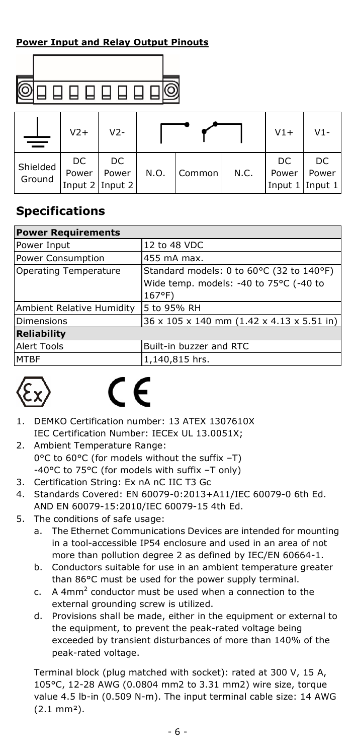#### **Power Input and Relay Output Pinouts**



|                    | $V2+$       | $V2-$                          |      |        |      | $V1+$                          | V1-         |
|--------------------|-------------|--------------------------------|------|--------|------|--------------------------------|-------------|
| Shielded<br>Ground | DC<br>Power | DC<br>Power<br>Input 2 Input 2 | N.O. | Common | N.C. | DC<br>Power<br>Input 1 Input 1 | DC<br>Power |

### **Specifications**

| <b>Power Requirements</b> |                                                                                              |  |  |
|---------------------------|----------------------------------------------------------------------------------------------|--|--|
| Power Input               | 12 to 48 VDC                                                                                 |  |  |
| Power Consumption         | 455 mA max.                                                                                  |  |  |
| Operating Temperature     | Standard models: 0 to 60°C (32 to 140°F)<br>Wide temp. models: -40 to 75°C (-40 to<br>167°F) |  |  |
| Ambient Relative Humidity | 5 to 95% RH                                                                                  |  |  |
| Dimensions                | 36 x 105 x 140 mm (1.42 x 4.13 x 5.51 in)                                                    |  |  |
| <b>Reliability</b>        |                                                                                              |  |  |
| <b>Alert Tools</b>        | Built-in buzzer and RTC                                                                      |  |  |
| <b>MTBF</b>               | 1,140,815 hrs.                                                                               |  |  |



- 1. DEMKO Certification number: 13 ATEX 1307610X IEC Certification Number: IECEx UL 13.0051X;
- 2. Ambient Temperature Range: 0°C to 60°C (for models without the suffix –T) -40°C to 75°C (for models with suffix –T only)
- 3. Certification String: Ex nA nC IIC T3 Gc
- 4. Standards Covered: EN 60079-0:2013+A11/IEC 60079-0 6th Ed. AND EN 60079-15:2010/IEC 60079-15 4th Ed.
- 5. The conditions of safe usage:
	- a. The Ethernet Communications Devices are intended for mounting in a tool-accessible IP54 enclosure and used in an area of not more than pollution degree 2 as defined by IEC/EN 60664-1.
	- b. Conductors suitable for use in an ambient temperature greater than 86°C must be used for the power supply terminal.
	- c. A 4mm2 conductor must be used when a connection to the external grounding screw is utilized.
	- d. Provisions shall be made, either in the equipment or external to the equipment, to prevent the peak-rated voltage being exceeded by transient disturbances of more than 140% of the peak-rated voltage.

Terminal block (plug matched with socket): rated at 300 V, 15 A, 105°C, 12-28 AWG (0.0804 mm2 to 3.31 mm2) wire size, torque value 4.5 lb-in (0.509 N-m). The input terminal cable size: 14 AWG (2.1 mm²).